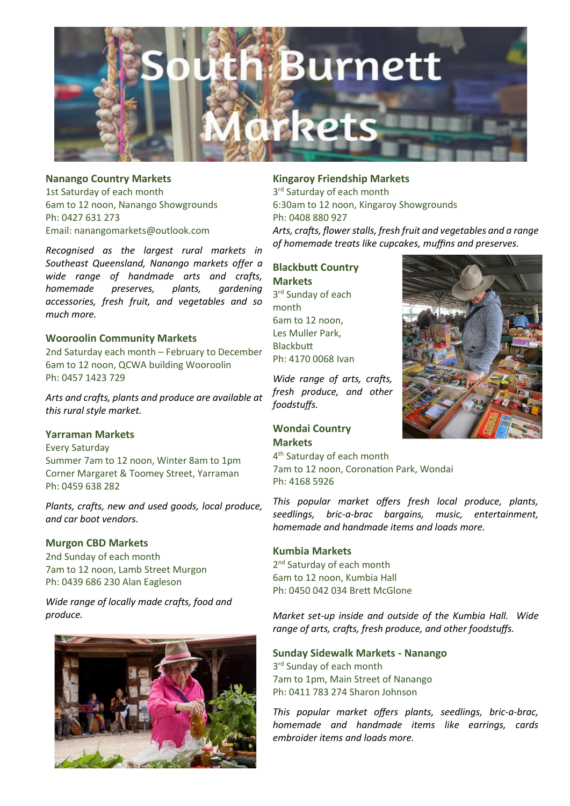

# **Nanango Country Markets**

1st Saturday of each month 6am to 12 noon, Nanango Showgrounds Ph: 0427 631 273 Email: nanangomarkets@outlook.com

*Recognised as the largest rural markets in Southeast Queensland, Nanango markets offer a wide range of handmade arts and crafts, homemade preserves, plants, gardening accessories, fresh fruit, and vegetables and so much more.* 

## **Wooroolin Community Markets**

2nd Saturday each month – February to December 6am to 12 noon, QCWA building Wooroolin Ph: 0457 1423 729

*Arts and crafts, plants and produce are available at this rural style market.* 

## **Yarraman Markets**

Every Saturday Summer 7am to 12 noon, Winter 8am to 1pm Corner Margaret & Toomey Street, Yarraman Ph: 0459 638 282

*Plants, crafts, new and used goods, local produce, and car boot vendors.* 

### **Murgon CBD Markets**

2nd Sunday of each month 7am to 12 noon, Lamb Street Murgon Ph: 0439 686 230 Alan Eagleson

*Wide range of locally made crafts, food and produce.* 



## **Kingaroy Friendship Markets**

3<sup>rd</sup> Saturday of each month 6:30am to 12 noon, Kingaroy Showgrounds Ph: 0408 880 927 *Arts, crafts, flower stalls, fresh fruit and vegetables and a range of homemade treats like cupcakes, muffins and preserves.* 

# **Blackbutt Country**

**Markets** 3 rd Sunday of each month 6am to 12 noon, Les Muller Park, **Blackbutt** Ph: 4170 0068 Ivan

*Wide range of arts, crafts, fresh produce, and other foodstuffs.* 

## **Wondai Country Markets**

4 th Saturday of each month 7am to 12 noon, Coronation Park, Wondai Ph: 4168 5926

*This popular market offers fresh local produce, plants, seedlings, bric-a-brac bargains, music, entertainment, homemade and handmade items and loads more.* 

## **Kumbia Markets**

2<sup>nd</sup> Saturday of each month 6am to 12 noon, Kumbia Hall Ph: 0450 042 034 Brett McGlone

*Market set-up inside and outside of the Kumbia Hall. Wide range of arts, crafts, fresh produce, and other foodstuffs.* 

#### **Sunday Sidewalk Markets - Nanango**

3<sup>rd</sup> Sunday of each month 7am to 1pm, Main Street of Nanango Ph: 0411 783 274 Sharon Johnson

*This popular market offers plants, seedlings, bric-a-brac, homemade and handmade items like earrings, cards embroider items and loads more.*